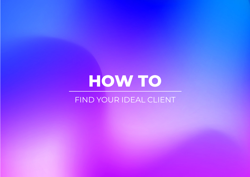## **HOW TO**

## FIND YOUR IDEAL CLIENT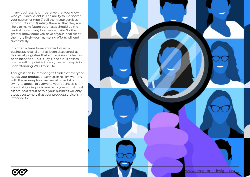In any business, it is imperative that you know who your ideal client is. The ability to 1) discover your customer type 2) sell them your services or products and 3) satisfy them so that they are likely to make future purchases should be the central focus of any business activity. So, the greater knowledge you have of your ideal client, the more likely your marketing efforts will end successfully.

It is often a transitional moment when a business's ideal client has been discovered, as this usually signifies that a businesses niche has been identified. This is key. Once a businesses unique selling point is known, the next step is in understanding WHO to sell to.

Though it can be tempting to think that everyone needs your product or service, in reality, working with this assumption can be detrimental. In trying to appeal to everyone your business is, essentially, doing a disservice to your actual ideal clients. As a result of this, your business will only attract customers that your product/service isn't intended for.



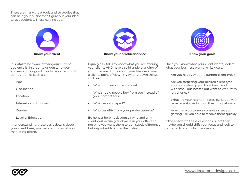There are many great tools and strategies that can help your business to figure out your ideal target audience. These can include:



It is vital to be aware of who your current audience is. In order to understand your audience, it is a good idea to pay attention to demographics such as:

- Age
- **Occupation**
- Location
- Interests and Hobbies
- Gender
- Level of Education

In understanding these basic details about your client base, you can start to target your marketing efforts.



Equally as vital is to know what you are offering your clients AND have a solid understanding of your business. Think about your business from a clients point of view – try writing down things such as.

- What problems do you solve?
- Why should people buy from you instead of your competitors?
- What sets you apart?
- Who benefits from your product/service?

Be honest here – ask yourself who and why clients will actually find value in your offer and not who you want them to be – subtle difference but important to know the distinction.



Once you know what your client wants, look at what your business wants i.e., its goals.

- Are you happy with the current client type?
- Are you targeting your desired client type appropriately e.g., you have been working with small businesses but want to work with larger ones?
- What are your retention rates like i.e., do you have repeat clients or do they buy just once
- How many customers complains are you getting – re you able to resolve them quickly.

If the answer to these questions is 'no', then maybe you should shift your focus and look to target a different client audience.

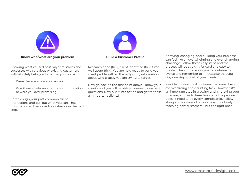



Knowing what caused past major mistakes and successes with previous or existing customers will definitely help you to narrow your focus.

- Were there any common issues
- Was there an element of miscommunication or were you over promising?

Sort through your past common client interactions and pull out what you can. That information will be incredibly valuable in the next step.

Research done (tick), client identified (tick) time well spent (tick). You are now ready to build your client profile with all the nitty gritty information about who exactly you are trying to target.

Now go back to the first point above – know your client - and you will be able to answer those basic questions. Now put it into action and get to these all-important clients!

Knowing, changing, and building your business can feel like an overwhelming and ever-changing challenge. Follow these easy steps and the process will be straight forward and easy to master. This should allow you to continue to evolve and remember to innovate so that you stay one step ahead of your clients.

Identifying your ideal customer can seem like an overwhelming and daunting task. However, it's an important step in growing and improving your business, and with these five steps, the process doesn't need to be overly complicated. Follow along and you're well on your way to not only reaching new customers—but the right ones.